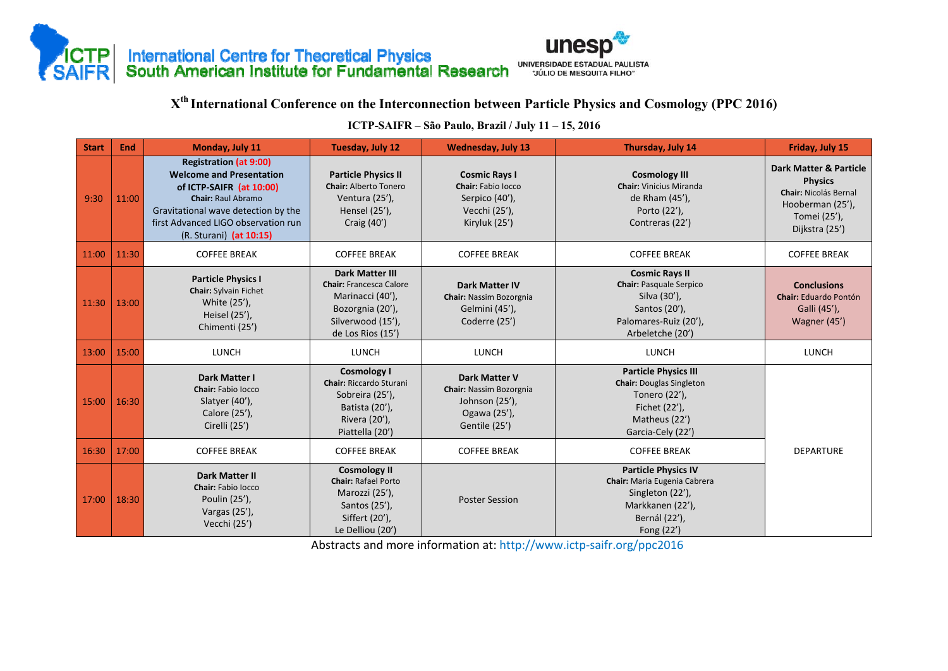



**<sup>X</sup>th International Conference on the Interconnection between Particle Physics and Cosmology (PPC 2016)** 

| <b>Start</b> | End   | Monday, July 11                                                                                                                                                                                                                    | <b>Tuesday, July 12</b>                                                                                                                    | <b>Wednesday, July 13</b>                                                                                 | Thursday, July 14                                                                                                                      | Friday, July 15                                                                                                                           |
|--------------|-------|------------------------------------------------------------------------------------------------------------------------------------------------------------------------------------------------------------------------------------|--------------------------------------------------------------------------------------------------------------------------------------------|-----------------------------------------------------------------------------------------------------------|----------------------------------------------------------------------------------------------------------------------------------------|-------------------------------------------------------------------------------------------------------------------------------------------|
| 9:30         | 11:00 | <b>Registration (at 9:00)</b><br><b>Welcome and Presentation</b><br>of ICTP-SAIFR (at 10:00)<br><b>Chair: Raul Abramo</b><br>Gravitational wave detection by the<br>first Advanced LIGO observation run<br>(R. Sturani) (at 10:15) | <b>Particle Physics II</b><br><b>Chair: Alberto Tonero</b><br>Ventura (25'),<br>Hensel (25'),<br>Craig (40')                               | <b>Cosmic Rays I</b><br>Chair: Fabio locco<br>Serpico (40'),<br>Vecchi (25'),<br>Kiryluk (25')            | <b>Cosmology III</b><br><b>Chair:</b> Vinicius Miranda<br>de Rham (45'),<br>Porto (22'),<br>Contreras (22')                            | <b>Dark Matter &amp; Particle</b><br><b>Physics</b><br><b>Chair: Nicolás Bernal</b><br>Hooberman (25'),<br>Tomei (25'),<br>Dijkstra (25') |
| 11:00        | 11:30 | <b>COFFEE BREAK</b>                                                                                                                                                                                                                | <b>COFFEE BREAK</b>                                                                                                                        | <b>COFFEE BREAK</b>                                                                                       | <b>COFFEE BREAK</b>                                                                                                                    | <b>COFFEE BREAK</b>                                                                                                                       |
| 11:30        | 13:00 | <b>Particle Physics I</b><br><b>Chair:</b> Sylvain Fichet<br>White (25'),<br>Heisel (25'),<br>Chimenti (25')                                                                                                                       | <b>Dark Matter III</b><br><b>Chair: Francesca Calore</b><br>Marinacci (40'),<br>Bozorgnia (20'),<br>Silverwood (15'),<br>de Los Rios (15') | <b>Dark Matter IV</b><br><b>Chair: Nassim Bozorgnia</b><br>Gelmini (45'),<br>Coderre (25')                | <b>Cosmic Rays II</b><br><b>Chair: Pasquale Serpico</b><br>Silva (30'),<br>Santos (20'),<br>Palomares-Ruiz (20'),<br>Arbeletche (20')  | <b>Conclusions</b><br><b>Chair:</b> Eduardo Pontón<br>Galli (45'),<br>Wagner (45')                                                        |
| 13:00        | 15:00 | <b>LUNCH</b>                                                                                                                                                                                                                       | <b>LUNCH</b>                                                                                                                               | <b>LUNCH</b>                                                                                              | <b>LUNCH</b>                                                                                                                           | <b>LUNCH</b>                                                                                                                              |
| 15:00        | 16:30 | Dark Matter I<br>Chair: Fabio locco<br>Slatyer (40'),<br>Calore (25'),<br>Cirelli (25')                                                                                                                                            | <b>Cosmology I</b><br><b>Chair: Riccardo Sturani</b><br>Sobreira (25'),<br>Batista (20'),<br>Rivera (20'),<br>Piattella (20')              | <b>Dark Matter V</b><br><b>Chair: Nassim Bozorgnia</b><br>Johnson (25'),<br>Ogawa (25'),<br>Gentile (25') | <b>Particle Physics III</b><br><b>Chair:</b> Douglas Singleton<br>Tonero (22'),<br>Fichet (22'),<br>Matheus (22')<br>Garcia-Cely (22') |                                                                                                                                           |
| 16:30        | 17:00 | <b>COFFEE BREAK</b>                                                                                                                                                                                                                | <b>COFFEE BREAK</b>                                                                                                                        | <b>COFFEE BREAK</b>                                                                                       | <b>COFFEE BREAK</b>                                                                                                                    | <b>DEPARTURE</b>                                                                                                                          |
| 17:00        | 18:30 | Dark Matter II<br>Chair: Fabio locco<br>Poulin (25'),<br>Vargas (25'),<br>Vecchi (25')                                                                                                                                             | <b>Cosmology II</b><br><b>Chair: Rafael Porto</b><br>Marozzi (25'),<br>Santos (25'),<br>Siffert (20'),<br>Le Delliou (20')                 | <b>Poster Session</b>                                                                                     | <b>Particle Physics IV</b><br>Chair: Maria Eugenia Cabrera<br>Singleton (22'),<br>Markkanen (22'),<br>Bernál (22'),<br>Fong (22')      |                                                                                                                                           |

**ICTP-SAIFR – São Paulo, Brazil / July 11 – 15, 2016**

Abstracts and more information at: http://www.ictp‐saifr.org/ppc2016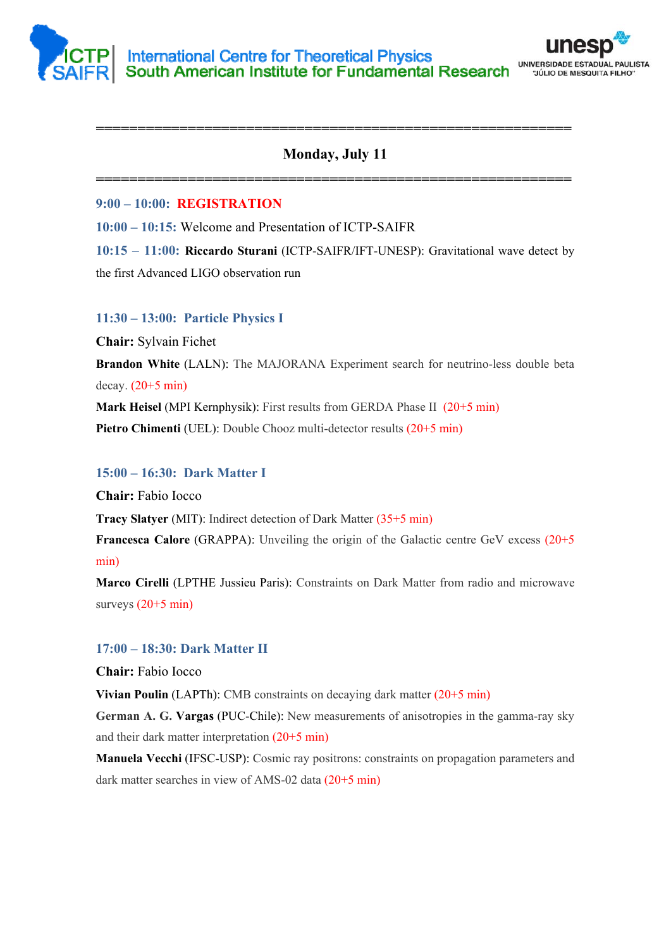



# **Monday, July 11**

**=========================================================** 

**=========================================================** 

**9:00 – 10:00: REGISTRATION**

**10:00 – 10:15:** Welcome and Presentation of ICTP-SAIFR

**10:15 – 11:00: Riccardo Sturani** (ICTP-SAIFR/IFT-UNESP): Gravitational wave detect by the first Advanced LIGO observation run

#### **11:30 – 13:00: Particle Physics I**

**Chair:** Sylvain Fichet **Brandon White** (LALN): The MAJORANA Experiment search for neutrino-less double beta decay.  $(20+5 \text{ min})$ **Mark Heisel** (MPI Kernphysik): First results from GERDA Phase II (20+5 min) **Pietro Chimenti** (UEL): Double Chooz multi-detector results (20+5 min)

### **15:00 – 16:30: Dark Matter I**

**Chair:** Fabio Iocco

**Tracy Slatyer** (MIT): Indirect detection of Dark Matter (35+5 min)

**Francesca Calore** (GRAPPA): Unveiling the origin of the Galactic centre GeV excess (20+5 min)

**Marco Cirelli** (LPTHE Jussieu Paris): Constraints on Dark Matter from radio and microwave surveys  $(20+5 \text{ min})$ 

### **17:00 – 18:30: Dark Matter II**

**Chair:** Fabio Iocco

**Vivian Poulin** (LAPTh): CMB constraints on decaying dark matter (20+5 min)

**German A. G. Vargas** (PUC-Chile): New measurements of anisotropies in the gamma-ray sky and their dark matter interpretation (20+5 min)

**Manuela Vecchi** (IFSC-USP): Cosmic ray positrons: constraints on propagation parameters and dark matter searches in view of AMS-02 data (20+5 min)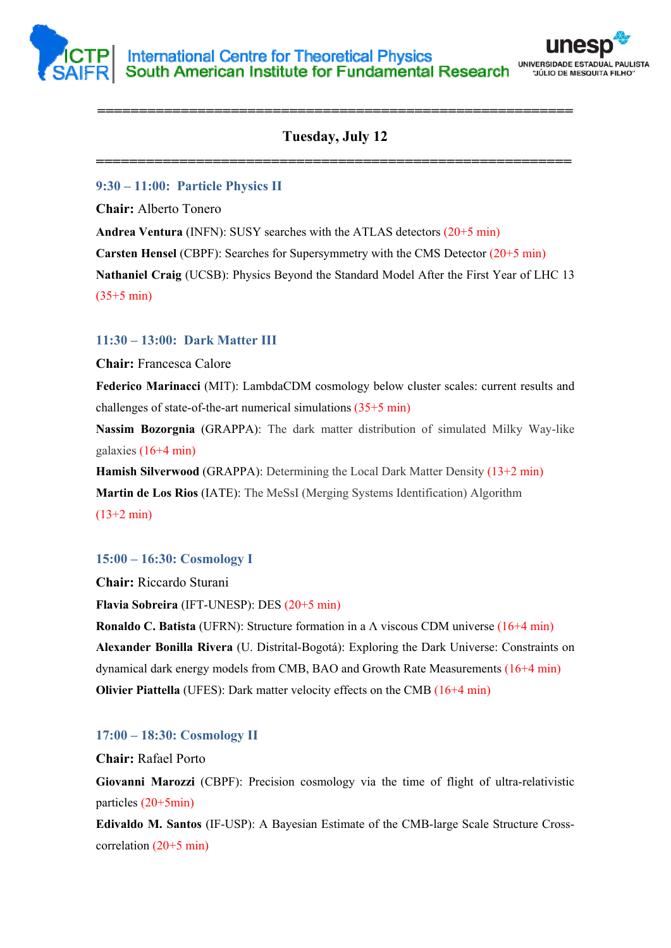



# **Tuesday, July 12**

**=========================================================** 

**=========================================================** 

### **9:30 – 11:00: Particle Physics II**

**Chair:** Alberto Tonero

**Andrea Ventura** (INFN): SUSY searches with the ATLAS detectors (20+5 min)

**Carsten Hensel** (CBPF): Searches for Supersymmetry with the CMS Detector (20+5 min)

**Nathaniel Craig** (UCSB): Physics Beyond the Standard Model After the First Year of LHC 13  $(35+5 \text{ min})$ 

## **11:30 – 13:00: Dark Matter III**

**Chair:** Francesca Calore

**Federico Marinacci** (MIT): LambdaCDM cosmology below cluster scales: current results and challenges of state-of-the-art numerical simulations (35+5 min)

**Nassim Bozorgnia** (GRAPPA): The dark matter distribution of simulated Milky Way-like galaxies (16+4 min)

**Hamish Silverwood** (GRAPPA): Determining the Local Dark Matter Density (13+2 min) **Martin de Los Rios** (IATE): The MeSsI (Merging Systems Identification) Algorithm (13+2 min)

### **15:00 – 16:30: Cosmology I**

**Chair:** Riccardo Sturani

**Flavia Sobreira** (IFT-UNESP): DES (20+5 min)

**Ronaldo C. Batista** (UFRN): Structure formation in a Λ viscous CDM universe (16+4 min) **Alexander Bonilla Rivera** (U. Distrital-Bogotá): Exploring the Dark Universe: Constraints on dynamical dark energy models from CMB, BAO and Growth Rate Measurements (16+4 min) **Olivier Piattella** (UFES): Dark matter velocity effects on the CMB (16+4 min)

### **17:00 – 18:30: Cosmology II**

**Chair:** Rafael Porto

**Giovanni Marozzi** (CBPF): Precision cosmology via the time of flight of ultra-relativistic particles (20+5min)

**Edivaldo M. Santos** (IF-USP): A Bayesian Estimate of the CMB-large Scale Structure Crosscorrelation (20+5 min)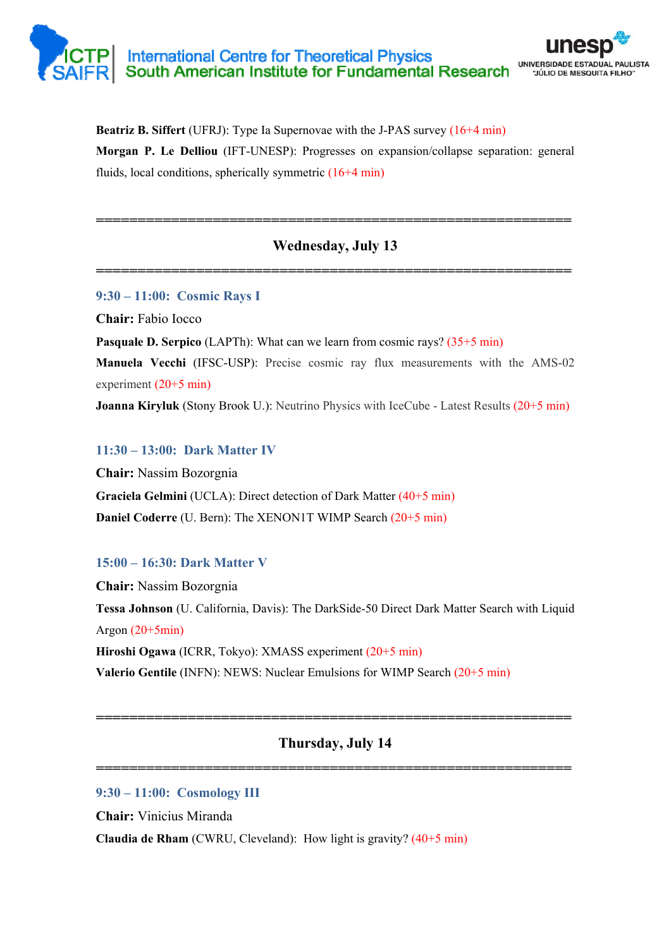# International Centre for Theoretical Physics<br>South American Institute for Fundamental Research UNIVERSIDADE ESTADUAL PAULISTA "JÚLIO DE MESQUITA FILHO"

**Beatriz B. Siffert** (UFRJ): Type Ia Supernovae with the J-PAS survey (16+4 min) **Morgan P. Le Delliou** (IFT-UNESP): Progresses on expansion/collapse separation: general fluids, local conditions, spherically symmetric (16+4 min)

# **Wednesday, July 13**

**=========================================================** 

**=========================================================** 

**9:30 – 11:00: Cosmic Rays I** 

**Chair:** Fabio Iocco

**Pasquale D. Serpico** (LAPTh): What can we learn from cosmic rays? (35+5 min)

**Manuela Vecchi** (IFSC-USP): Precise cosmic ray flux measurements with the AMS-02 experiment (20+5 min)

**Joanna Kiryluk** (Stony Brook U.): Neutrino Physics with IceCube - Latest Results (20+5 min)

# **11:30 – 13:00: Dark Matter IV**

**Chair:** Nassim Bozorgnia **Graciela Gelmini** (UCLA): Direct detection of Dark Matter (40+5 min) **Daniel Coderre** (U. Bern): The XENON1T WIMP Search (20+5 min)

# **15:00 – 16:30: Dark Matter V**

**Chair:** Nassim Bozorgnia **Tessa Johnson** (U. California, Davis): The DarkSide-50 Direct Dark Matter Search with Liquid Argon  $(20+5min)$ **Hiroshi Ogawa** (ICRR, Tokyo): XMASS experiment (20+5 min)

**Valerio Gentile** (INFN): NEWS: Nuclear Emulsions for WIMP Search (20+5 min)

# **Thursday, July 14**

**=========================================================** 

**=========================================================** 

# **9:30 – 11:00: Cosmology III**

**Chair:** Vinicius Miranda

**Claudia de Rham** (CWRU, Cleveland): How light is gravity? (40+5 min)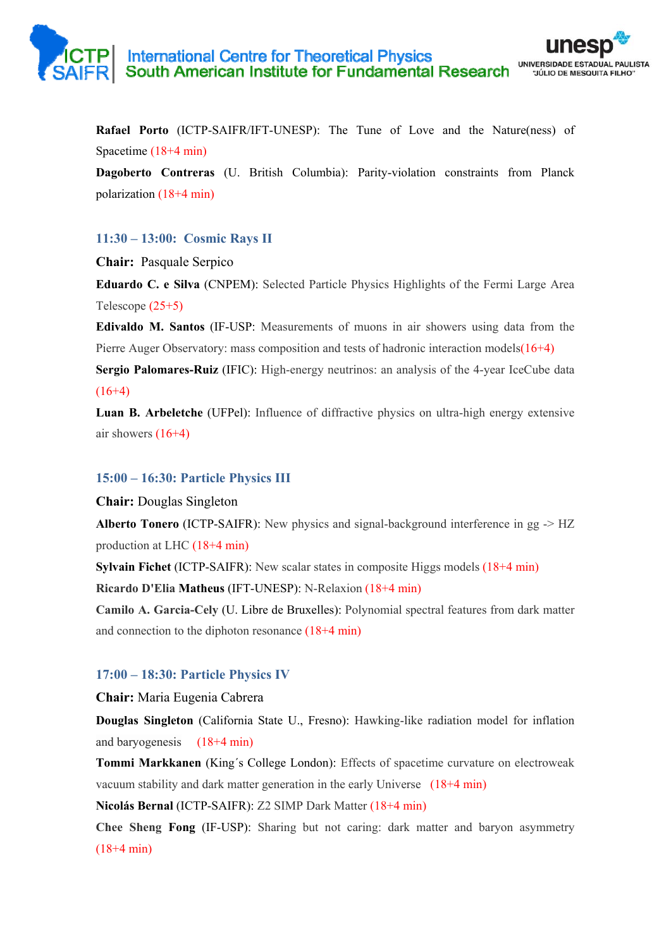**Rafael Porto** (ICTP-SAIFR/IFT-UNESP): The Tune of Love and the Nature(ness) of Spacetime (18+4 min)

**Dagoberto Contreras** (U. British Columbia): Parity-violation constraints from Planck polarization (18+4 min)

## **11:30 – 13:00: Cosmic Rays II**

**Chair:** Pasquale Serpico

**Eduardo C. e Silva** (CNPEM): Selected Particle Physics Highlights of the Fermi Large Area Telescope (25+5)

**Edivaldo M. Santos** (IF-USP: Measurements of muons in air showers using data from the Pierre Auger Observatory: mass composition and tests of hadronic interaction models(16+4)

**Sergio Palomares-Ruiz** (IFIC): High-energy neutrinos: an analysis of the 4-year IceCube data  $(16+4)$ 

**Luan B. Arbeletche** (UFPel): Influence of diffractive physics on ultra-high energy extensive air showers  $(16+4)$ 

### **15:00 – 16:30: Particle Physics III**

**Chair:** Douglas Singleton

**Alberto Tonero** (ICTP-SAIFR): New physics and signal-background interference in gg  $\geq$  HZ production at LHC (18+4 min)

**Sylvain Fichet** (ICTP-SAIFR): New scalar states in composite Higgs models (18+4 min)

**Ricardo D'Elia Matheus** (IFT-UNESP): N-Relaxion (18+4 min)

**Camilo A. Garcia-Cely** (U. Libre de Bruxelles): Polynomial spectral features from dark matter and connection to the diphoton resonance (18+4 min)

# **17:00 – 18:30: Particle Physics IV**

**Chair:** Maria Eugenia Cabrera

**Douglas Singleton** (California State U., Fresno): Hawking-like radiation model for inflation and baryogenesis (18+4 min)

**Tommi Markkanen** (King´s College London): Effects of spacetime curvature on electroweak vacuum stability and dark matter generation in the early Universe (18+4 min)

**Nicolás Bernal** (ICTP-SAIFR): Z2 SIMP Dark Matter (18+4 min)

**Chee Sheng Fong** (IF-USP): Sharing but not caring: dark matter and baryon asymmetry (18+4 min)